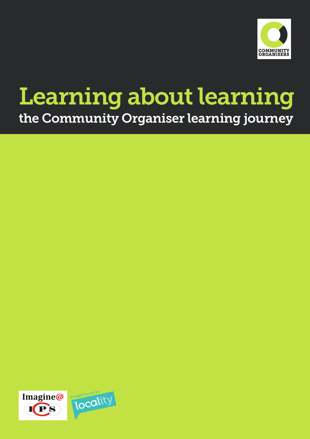

# Learning about learning the Community Organiser learning journey

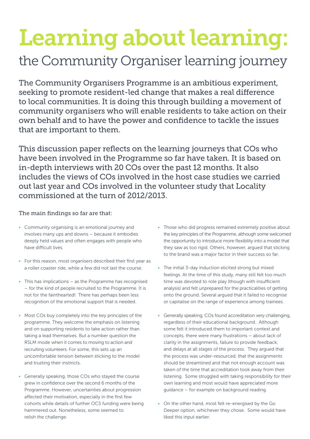# Learning about learning:

# the Community Organiser learning journey

The Community Organisers Programme is an ambitious experiment, seeking to promote resident-led change that makes a real difference to local communities. It is doing this through building a movement of community organisers who will enable residents to take action on their own behalf and to have the power and confidence to tackle the issues that are important to them.

This discussion paper reflects on the learning journeys that COs who have been involved in the Programme so far have taken. It is based on in-depth interviews with 20 COs over the past 12 months. It also includes the views of COs involved in the host case studies we carried out last year and COs involved in the volunteer study that Locality commissioned at the turn of 2012/2013.

#### The main findings so far are that:

- Community organising is an emotional journey and involves many ups and downs – because it embodies deeply held values and often engages with people who have difficult lives.
- For this reason, most organisers described their first year as a roller coaster ride, while a few did not last the course.
- This has implications as the Programme has recognised – for the kind of people recruited to the Programme. It is not for the fainthearted! There has perhaps been less recognition of the emotional support that is needed.
- Most COs buy completely into the key principles of the programme. They welcome the emphasis on listening and on supporting residents to take action rather than taking a lead themselves. But a number question the RSLM mode when it comes to moving to action and recruiting volunteers. For some, this sets up an uncomfortable tension between sticking to the model and trusting their instincts.
- Generally speaking, those COs who stayed the course grew in confidence over the second 6 months of the Programme. However, uncertainties about progression affected their motivation, especially in the first few cohorts while details of further OCS funding were being hammered out. Nonetheless, some seemed to relish the challenge.
- Those who did progress remained extremely positive about the key principles of the Programme, although some welcomed the opportunity to introduce more flexibility into a model that they saw as too rigid. Others, however, argued that sticking to the brand was a major factor in their success so far.
- The initial 3-day induction elicited strong but mixed feelings. At the time of this study, many still felt too much time was devoted to role play (though with insufficient analysis) and felt unprepared for the practicalities of getting onto the ground. Several argued that it failed to recognise or capitalise on the range of experience among trainees.
- Generally speaking, COs found accreditation very challenging, regardless of their educational background. Although some felt it introduced them to important context and concepts, there were many frustrations – about lack of clarity in the assignments, failure to provide feedback, and delays at all stages of the process. They argued that the process was under-resourced, that the assignments should be streamlined and that not enough account was taken of the time that accreditation took away from their listening. Some struggled with taking responsibility for their own learning and most would have appreciated more guidance – for example on background reading.
- On the other hand, most felt re-energised by the Go Deeper option, whichever they chose. Some would have liked this input earlier.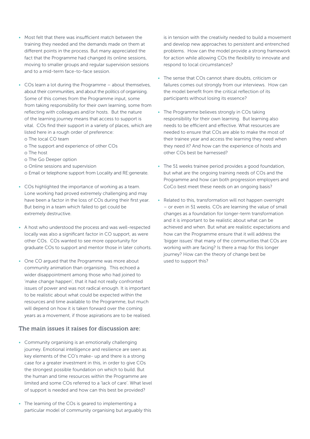- Most felt that there was insufficient match between the training they needed and the demands made on them at different points in the process. But many appreciated the fact that the Programme had changed its online sessions, moving to smaller groups and regular supervision sessions and to a mid-term face-to-face session.
- COs learn a lot during the Programme about themselves, about their communities, and about the politics of organising. Some of this comes from the Programme input, some from taking responsibility for their own learning, some from reflecting with colleagues and/or hosts. But the nature of the learning journey means that access to support is vital. COs find their support in a variety of places, which are listed here in a rough order of preference:
	- o The local CO team
	- o The support and experience of other COs
	- o The host
	- o The Go Deeper option
	- o Online sessions and supervision
	- o Email or telephone support from Locality and RE:generate.
- COs highlighted the importance of working as a team. Lone working had proved extremely challenging and may have been a factor in the loss of COs during their first year. But being in a team which failed to gel could be extremely destructive.
- A host who understood the process and was well-respected locally was also a significant factor in CO support, as were other COs. COs wanted to see more opportunity for graduate COs to support and mentor those in later cohorts.
- One CO argued that the Programme was more about community animation than organising. This echoed a wider disappointment among those who had joined to 'make change happen', that it had not really confronted issues of power and was not radical enough. It is important to be realistic about what could be expected within the resources and time available to the Programme, but much will depend on how it is taken forward over the coming years as a movement, if those aspirations are to be realised.

#### The main issues it raises for discussion are:

- Community organising is an emotionally challenging journey. Emotional intelligence and resilience are seen as key elements of the CO's make- up and there is a strong case for a greater investment in this, in order to give COs the strongest possible foundation on which to build. But the human and time resources within the Programme are limited and some COs referred to a 'lack of care'. What level of support is needed and how can this best be provided?
- The learning of the COs is geared to implementing a particular model of community organising but arguably this

is in tension with the creativity needed to build a movement and develop new approaches to persistent and entrenched problems. How can the model provide a strong framework for action while allowing COs the flexibility to innovate and respond to local circumstances?

- The sense that COs cannot share doubts, criticism or failures comes out strongly from our interviews. How can the model benefit from the critical reflection of its participants without losing its essence?
- The Programme believes strongly in COs taking responsibility for their own learning. But learning also needs to be efficient and effective. What resources are needed to ensure that COs are able to make the most of their trainee year and access the learning they need when they need it? And how can the experience of hosts and other COs best be harnessed?
- The 51 weeks trainee period provides a good foundation, but what are the ongoing training needs of COs and the Programme and how can both progression employers and CoCo best meet these needs on an ongoing basis?
- Related to this, transformation will not happen overnight – or even in 51 weeks. COs are learning the value of small changes as a foundation for longer-term transformation and it is important to be realistic about what can be achieved and when. But what are realistic expectations and how can the Programme ensure that it will address the 'bigger issues' that many of the communities that COs are working with are facing? Is there a map for this longer journey? How can the theory of change best be used to support this?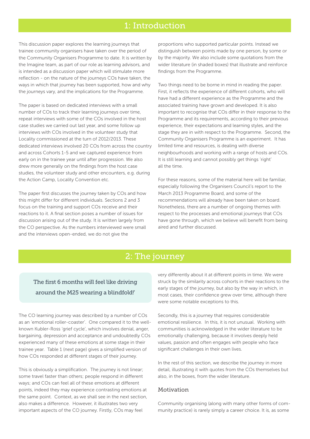# 1: Introduction

This discussion paper explores the learning journeys that trainee community organisers have taken over the period of the Community Organisers Programme to date. It is written by the Imagine team, as part of our role as learning advisors, and is intended as a discussion paper which will stimulate more reflection - on the nature of the journeys COs have taken, the ways in which that journey has been supported, how and why the journeys vary, and the implications for the Programme.

The paper is based on dedicated interviews with a small number of COs to track their learning journeys over time, repeat interviews with some of the COs involved in the host case studies we carried out last year, and some follow up interviews with COs involved in the volunteer study that Locality commissioned at the turn of 2012/2013. These dedicated interviews involved 20 COs from across the country and across Cohorts 1-5 and we captured experience from early on in the trainee year until after progression. We also drew more generally on the findings from the host case studies, the volunteer study and other encounters, e.g. during the Action Camp, Locality Convention etc.

The paper first discusses the journey taken by COs and how this might differ for different individuals. Sections 2 and 3 focus on the training and support COs receive and their reactions to it. A final section poses a number of issues for discussion arising out of the study. It is written largely from the CO perspective. As the numbers interviewed were small and the interviews open-ended, we do not give the

proportions who supported particular points. Instead we distinguish between points made by one person, by some or by the majority. We also include some quotations from the wider literature (in shaded boxes) that illustrate and reinforce findings from the Programme.

Two things need to be borne in mind in reading the paper. First, it reflects the experience of different cohorts, who will have had a different experience as the Programme and the associated training have grown and developed. It is also important to recognise that COs differ in their response to the Programme and its requirements, according to their previous experience, their expectations and learning styles, and the stage they are in with respect to the Programme. Second, the Community Organisers Programme is an experiment. It has limited time and resources, is dealing with diverse neighbourhoods and working with a range of hosts and COs. It is still learning and cannot possibly get things 'right' all the time.

For these reasons, some of the material here will be familiar, especially following the Organisers Council's report to the March 2013 Programme Board, and some of the recommendations will already have been taken on board. Nonetheless, there are a number of ongoing themes with respect to the processes and emotional journeys that COs have gone through, which we believe will benefit from being aired and further discussed.

# 2: The journey

# The first 6 months will feel like driving around the M25 wearing a blindfold!'

The CO learning journey was described by a number of COs as an 'emotional roller-coaster'. One compared it to the wellknown Kubler-Ross 'grief cycle', which involves denial, anger, bargaining, depression and acceptance and undoubtedly COs experienced many of these emotions at some stage in their trainee year. Table 1 (next page) gives a simplified version of how COs responded at different stages of their journey.

This is obviously a simplification. The journey is not linear; some travel faster than others; people respond in different ways; and COs can feel all of these emotions at different points, indeed they may experience contrasting emotions at the same point. Context, as we shall see in the next section, also makes a difference. However, it illustrates two very important aspects of the CO journey. Firstly, COs may feel

very differently about it at different points in time. We were struck by the similarity across cohorts in their reactions to the early stages of the journey, but also by the way in which, in most cases, their confidence grew over time, although there were some notable exceptions to this.

Secondly, this is a journey that requires considerable emotional resilience. In this, it is not unusual. Working with communities is acknowledged in the wider literature to be emotionally challenging, because it involves deeply held values, passion and often engages with people who face significant challenges in their own lives.

In the rest of this section, we describe the journey in more detail, illustrating it with quotes from the COs themselves but also, in the boxes, from the wider literature.

#### Motivation

Community organising (along with many other forms of community practice) is rarely simply a career choice. It is, as some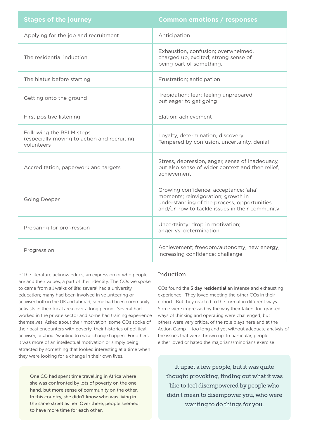| <b>Stages of the journey</b>                                                          | <b>Common emotions / responses</b>                                                                                                                                           |
|---------------------------------------------------------------------------------------|------------------------------------------------------------------------------------------------------------------------------------------------------------------------------|
| Applying for the job and recruitment                                                  | Anticipation                                                                                                                                                                 |
| The residential induction                                                             | Exhaustion, confusion; overwhelmed,<br>charged up, excited; strong sense of<br>being part of something.                                                                      |
| The hiatus before starting                                                            | Frustration; anticipation                                                                                                                                                    |
| Getting onto the ground                                                               | Trepidation; fear; feeling unprepared<br>but eager to get going                                                                                                              |
| First positive listening                                                              | Elation; achievement                                                                                                                                                         |
| Following the RSLM steps<br>(especially moving to action and recruiting<br>volunteers | Loyalty, determination, discovery.<br>Tempered by confusion, uncertainty, denial                                                                                             |
| Accreditation, paperwork and targets                                                  | Stress, depression, anger, sense of inadequacy,<br>but also sense of wider context and then relief.<br>achievement                                                           |
| <b>Going Deeper</b>                                                                   | Growing confidence; acceptance; 'aha'<br>moments; reinvigoration; growth in<br>understanding of the process, opportunities<br>and/or how to tackle issues in their community |
| Preparing for progression                                                             | Uncertainty; drop in motivation;<br>anger vs. determination                                                                                                                  |
| Progression                                                                           | Achievement; freedom/autonomy; new energy;<br>increasing confidence; challenge                                                                                               |

of the literature acknowledges, an expression of who people are and their values, a part of their identity. The COs we spoke to came from all walks of life: several had a university education; many had been involved in volunteering or activism both in the UK and abroad; some had been community activists in their local area over a long period. Several had worked in the private sector and some had training experience themselves. Asked about their motivation, some COs spoke of their past encounters with poverty, their histories of political activism, or about 'wanting to make change happen'. For others it was more of an intellectual motivation or simply being attracted by something that looked interesting at a time when they were looking for a change in their own lives.

One CO had spent time travelling in Africa where she was confronted by lots of poverty on the one hand, but more sense of community on the other. In this country, she didn't know who was living in the same street as her. Over there, people seemed to have more time for each other.

#### Induction

COs found the 3 day residential an intense and exhausting experience. They loved meeting the other COs in their cohort. But they reacted to the format in different ways. Some were impressed by the way their taken-for-granted ways of thinking and operating were challenged; but others were very critical of the role plays here and at the Action Camp – too long and yet without adequate analysis of the issues that were thrown up. In particular, people either loved or hated the majorians/minorians exercise:

It upset a few people, but it was quite thought provoking, finding out what it was like to feel disempowered by people who didn't mean to disempower you, who were wanting to do things for you.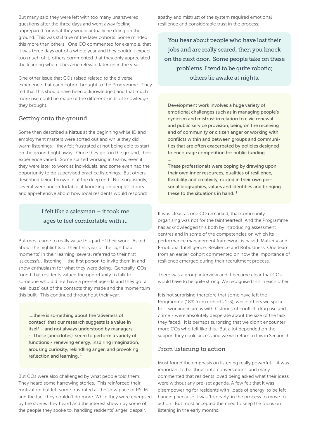But many said they were left with too many unanswered questions after the three days and went away feeling unprepared for what they would actually be doing on the ground. This was still true of the later cohorts. Some minded this more than others. One CO commented for example, that it was three days out of a whole year and they couldn't expect too much of it; others commented that they only appreciated the learning when it became relevant later on in the year.

One other issue that COs raised related to the diverse experience that each cohort brought to the Programme. They felt that this should have been acknowledged and that much more use could be made of the different kinds of knowledge they brought.

#### Getting onto the ground

Some then described a hiatus at the beginning while ID and employment matters were sorted out and while they did warm listenings - they felt frustrated at not being able to start on the ground right away. Once they got on the ground, their experience varied. Some started working in teams, even if they were later to work as individuals, and some even had the opportunity to do supervised practice listenings. But others described being thrown in at the deep end. Not surprisingly, several were uncomfortable at knocking on people's doors and apprehensive about how local residents would respond:

### I felt like a salesman – it took me ages to feel comfortable with it.

But most came to really value this part of their work. Asked about the highlights of their first year or the 'lightbulb moments' in their learning, several referred to their first 'successful' listening – the first person to invite them in and show enthusiasm for what they were doing. Generally, COs found that residents valued the opportunity to talk to someone who did not have a pre-set agenda and they got a real 'buzz' out of the contacts they made and the momentum this built. This continued throughout their year.

….there is something about the 'aliveness of contact' that our research suggests is a value in itself – and not always understood by managers - These (anecdotes) seem to perform a variety of functions - renewing energy, inspiring imagination, arousing curiosity, rekindling anger, and provoking reflection and learning. 1

But COs were also challenged by what people told them. They heard some harrowing stories. This reinforced their motivation but left some frustrated at the slow pace of RSLM and the fact they couldn't do more. While they were energised by the stories they heard and the interest shown by some of the people they spoke to, handling residents' anger, despair,

apathy and mistrust of the system required emotional resilience and considerable trust in the process:

You hear about people who have lost their jobs and are really scared, then you knock on the next door. Some people take on these problems. I tend to be quite robotic; others lie awake at nights.

Development work involves a huge variety of emotional challenges such as in managing people's cynicism and mistrust in relation to civic renewal and public service provision, being on the receiving end of community or citizen anger or working with conflicts within and between groups and communities that are often exacerbated by policies designed to encourage competition for public funding.

… These professionals were coping by drawing upon their own inner resources, qualities of resilience, flexibility and creativity, rooted in their own personal biographies, values and identities and bringing these to the situations in hand.  $1$ 

It was clear, as one CO remarked, that community organising was not for the fainthearted! And the Programme has acknowledged this both by introducing assessment centres and in some of the competencies on which its performance management framework is based: Maturity and Emotional Intelligence, Resilience and Robustness. One team from an earlier cohort commented on how the importance of resilience emerged during their recruitment process.

There was a group interview and it became clear that COs would have to be quite strong. We recognised this in each other.

It is not surprising therefore that some have left the Programme (18% from cohorts 1-3), while others we spoke to – working in areas with histories of conflict, drug use and crime - were absolutely desperate about the size of the task they faced. It is perhaps surprising that we didn't encounter more COs who felt like this. But a lot depended on the support they could access and we will return to this in Section 3.

#### From listening to action

Most found the emphasis on listening really powerful – it was important to be 'thrust into conversations' and many commented that residents loved being asked what their ideas were without any pre-set agenda. A few felt that it was disempowering for residents with 'loads of energy' to be left hanging because it was 'too early' in the process to move to action. But most accepted the need to keep the focus on listening in the early months.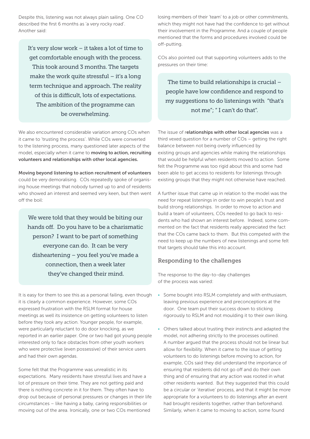Despite this, listening was not always plain sailing. One CO described the first 6 months as 'a very rocky road'. Another said:

It's very slow work – it takes a lot of time to get comfortable enough with the process. This took around 3 months. The targets make the work quite stressful – it's a long term technique and approach. The reality of this is difficult, lots of expectations. The ambition of the programme can be overwhelming.

We also encountered considerable variation among COs when it came to 'trusting the process'. While COs were converted to the listening process, many questioned later aspects of the model, especially when it came to moving to action, recruiting volunteers and relationships with other local agencies.

Moving beyond listening to action recruitment of volunteers could be very demoralising. COs repeatedly spoke of organising house meetings that nobody turned up to and of residents who showed an interest and seemed very keen, but then went off the boil:

We were told that they would be biting our hands off. Do you have to be a charismatic person? I want to be part of something everyone can do. It can be very disheartening – you feel you've made a connection, then a week later they've changed their mind.

It is easy for them to see this as a personal failing, even though it is clearly a common experience. However, some COs expressed frustration with the RSLM format for house meetings as well its insistence on getting volunteers to listen before they took any action. Younger people, for example, were particularly reluctant to do door knocking, as we reported in an earlier paper. One or two had got young people interested only to face obstacles from other youth workers who were protective (even possessive) of their service users and had their own agendas.

Some felt that the Programme was unrealistic in its expectations. Many residents have stressful lives and have a lot of pressure on their time. They are not getting paid and there is nothing concrete in it for them. They often have to drop out because of personal pressures or changes in their life circumstances – like having a baby, caring responsibilities or moving out of the area. Ironically, one or two COs mentioned

losing members of their 'team' to a job or other commitments, which they might not have had the confidence to get without their involvement in the Programme. And a couple of people mentioned that the forms and procedures involved could be off-putting.

COs also pointed out that supporting volunteers adds to the pressures on their time:

The time to build relationships is crucial – people have low confidence and respond to my suggestions to do listenings with "that's not me"; " I can't do that".

The issue of relationships with other local agencies was a third vexed question for a number of COs – getting the right balance between not being overly influenced by existing groups and agencies while making the relationships that would be helpful when residents moved to action. Some felt the Programme was too rigid about this and some had been able to get access to residents for listenings through existing groups that they might not otherwise have reached.

A further issue that came up in relation to the model was the need for repeat listenings in order to win people's trust and build strong relationships. In order to move to action and build a team of volunteers, COs needed to go back to residents who had shown an interest before. Indeed, some commented on the fact that residents really appreciated the fact that the COs came back to them. But this competed with the need to keep up the numbers of new listenings and some felt that targets should take this into account.

#### Responding to the challenges

The response to the day-to-day challenges of the process was varied:

- Some bought into RSLM completely and with enthusiasm, leaving previous experience and preconceptions at the door. One team put their success down to sticking rigorously to RSLM and not moulding it to their own liking.
- Others talked about trusting their instincts and adapted the model, not adhering strictly to the processes outlined. A number argued that the process should not be linear but allow for flexibility. When it came to the issue of getting volunteers to do listenings before moving to action, for example, COs said they did understand the importance of ensuring that residents did not go off and do their own thing and of ensuring that any action was rooted in what other residents wanted. But they suggested that this could be a circular or 'iterative' process, and that it might be more appropriate for a volunteers to do listenings after an event had brought residents together, rather than beforehand. Similarly, when it came to moving to action, some found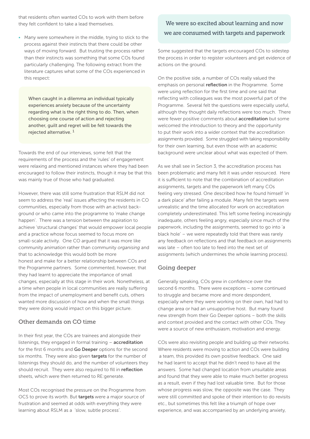that residents often wanted COs to work with them before they felt confident to take a lead themselves.

• Many were somewhere in the middle, trying to stick to the process against their instincts that there could be other ways of moving forward. But trusting the process rather than their instincts was something that some COs found particularly challenging. The following extract from the literature captures what some of the COs experienced in this respect:

When caught in a dilemma an individual typically experiences anxiety because of the uncertainty regarding what is the right thing to do. Then, when choosing one course of action and rejecting another, guilt and regret will be felt towards the rejected alternative. 1

Towards the end of our interviews, some felt that the requirements of the process and the 'rules' of engagement were relaxing and mentioned instances where they had been encouraged to follow their instincts, though it may be that this was mainly true of those who had graduated.

However, there was still some frustration that RSLM did not seem to address the 'real' issues affecting the residents in CO communities, especially from those with an activist background or who came into the programme to 'make change happen'. There was a tension between the aspiration to achieve 'structural changes' that would empower local people and a practice whose focus seemed to focus more on small-scale activity. One CO argued that it was more like community *animation* rather than community *organising* and that to acknowledge this would both be more honest and make for a better relationship between COs and the Programme partners. Some commented, however, that they had learnt to appreciate the importance of small changes, especially at this stage in their work. Nonetheless, at a time when people in local communities are really suffering from the impact of unemployment and benefit cuts, others wanted more discussion of how and when the small things they were doing would impact on this bigger picture.

#### Other demands on CO time

In their first year, the COs are trainees and alongside their listenings, they engaged in formal training  $-$  accreditation for the first 6 months and Go Deeper options for the second six months. They were also given targets for the number of listenings they should do, and the number of volunteers they should recruit. They were also required to fill in reflection sheets, which were then returned to RE:generate.

Most COs recognised the pressure on the Programme from OCS to prove its worth. But targets were a major source of frustration and seemed at odds with everything they were learning about RSLM as a 'slow, subtle process'.

### We were so excited about learning and now we are consumed with targets and paperwork

Some suggested that the targets encouraged COs to sidestep the process in order to register volunteers and get evidence of actions on the ground.

On the positive side, a number of COs really valued the emphasis on personal reflection in the Programme. Some were using reflection for the first time and one said that reflecting with colleagues was the most powerful part of the Programme. Several felt the questions were especially useful, although they thought daily reflections were too much. There were fewer positive comments about **accreditation** but some welcomed the introduction to theory and the opportunity to put their work into a wider context that the accreditation assignments provided. Some struggled with taking responsibility for their own learning, but even those with an academic background were unclear about what was expected of them.

As we shall see in Section 3, the accreditation process has been problematic and many felt it was under resourced. Here it is sufficient to note that the combination of accreditation assignments, targets and the paperwork left many COs feeling very stressed. One described how he found himself 'in a dark place' after failing a module. Many felt the targets were unrealistic and the time allocated for work on accreditation completely underestimated. This left some feeling increasingly inadequate, others feeling angry, especially since much of the paperwork, including the assignments, seemed to go into 'a black hole' – we were repeatedly told that there was rarely any feedback on reflections and that feedback on assignments was late – often too late to feed into the next set of assignments (which undermines the whole learning process).

#### Going deeper

Generally speaking, COs grew in confidence over the second 6 months. There were exceptions – some continued to struggle and became more and more despondent, especially where they were working on their own, had had to change area or had an unsupportive host. But many found new strength from their Go Deeper options – both the skills and context provided and the contact with other COs. They were a source of new enthusiasm, motivation and energy.

COs were also revisiting people and building up their networks. Where residents were moving to action and COs were building a team, this provided its own positive feedback. One said he had learnt to accept that he didn't need to have all the answers. Some had changed location from unsuitable areas and found that they were able to make much better progress as a result, even if they had lost valuable time. But for those whose progress was slow, the opposite was the case. They were still committed and spoke of their intention to do revisits etc., but sometimes this felt like a triumph of hope over experience, and was accompanied by an underlying anxiety,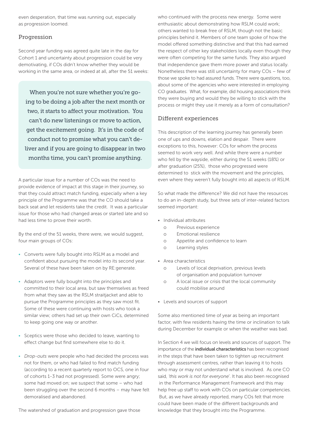even desperation, that time was running out, especially as progression loomed.

#### Progression

Second year funding was agreed quite late in the day for Cohort 1 and uncertainty about progression could be very demotivating, if COs didn't know whether they would be working in the same area, or indeed at all, after the 51 weeks:

When you're not sure whether you're going to be doing a job after the next month or two, it starts to affect your motivation. You can't do new listenings or move to action, get the excitement going. It's in the code of conduct not to promise what you can't deliver and if you are going to disappear in two months time, you can't promise anything.

A particular issue for a number of COs was the need to provide evidence of impact at this stage in their journey, so that they could attract match funding, especially when a key principle of the Programme was that the CO should take a back seat and let residents take the credit. It was a particular issue for those who had changed areas or started late and so had less time to prove their worth.

By the end of the 51 weeks, there were, we would suggest, four main groups of COs:

- Converts were fully bought into RSLM as a model and confident about pursuing the model into its second year. Several of these have been taken on by RE:generate.
- Adaptors were fully bought into the principles and committed to their local area, but saw themselves as freed from what they saw as the RSLM straitjacket and able to pursue the Programme principles as they saw most fit. Some of these were continuing with hosts who took a similar view; others had set up their own CiCs, determined to keep going one way or another.
- Sceptics were those who decided to leave, wanting to effect change but find somewhere else to do it.
- *Drop-outs* were people who had decided the process was not for them, or who had failed to find match funding (according to a recent quarterly report to OCS, one in four of cohorts 1-3 had not progressed). Some were angry; some had moved on; we suspect that some – who had been struggling over the second 6 months – may have felt demoralised and abandoned.

The watershed of graduation and progression gave those

who continued with the process new energy. Some were enthusiastic about demonstrating how RSLM could work; others wanted to break free of RSLM, though not the basic principles behind it. Members of one team spoke of how the model offered something distinctive and that this had earned the respect of other key stakeholders locally even though they were often competing for the same funds. They also argued that independence gave them more power and status locally. Nonetheless there was still uncertainty for many COs – few of those we spoke to had assured funds. There were questions, too, about some of the agencies who were interested in employing CO graduates. What, for example, did housing associations think they were buying and would they be willing to stick with the process or might they use it merely as a form of consultation?

#### Different experiences

This description of the learning journey has generally been one of ups and downs, elation and despair. There were exceptions to this, however: COs for whom the process seemed to work very well. And while there were a number who fell by the wayside, either during the 51 weeks (18%) or after graduation (25%), those who progressed were determined to stick with the movement and the principles, even where they weren't fully bought into all aspects of RSLM.

So what made the difference? We did not have the resources to do an in-depth study, but three sets of inter-related factors seemed important:

- • Individual attributes
	- o Previous experience
	- o Emotional resilience
	- o Appetite and confidence to learn
	- o Learning styles
- • Area characteristics
	- o Levels of local deprivation, previous levels of organisation and population turnover
	- o A local issue or crisis that the local community could mobilise around
- • Levels and sources of support

Some also mentioned time of year as being an important factor, with few residents having the time or inclination to talk during December for example or when the weather was bad.

In Section 4 we will focus on levels and sources of support. The importance of the *individual characteristics* has been recognised in the steps that have been taken to tighten up recruitment through assessment centres, rather than leaving it to hosts who may or may not understand what is involved. As one CO said, *'this work is not for everyone*'. It has also been recognised in the Performance Management Framework and this may help free up staff to work with COs on particular competencies. But, as we have already reported, many COs felt that more could have been made of the different backgrounds and knowledge that they brought into the Programme.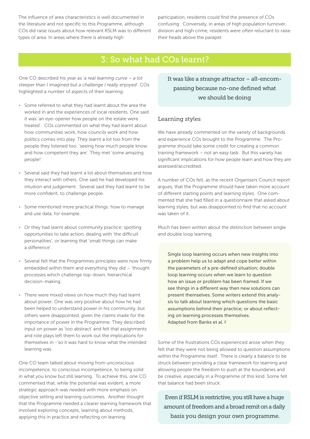The influence of area characteristics is well documented in the literature and not specific to this Programme, although COs did raise issues about how relevant RSLM was to different types of area. In areas where there is already high

participation, residents could find the presence of COs confusing. Conversely, in areas of high population turnover, division and high crime, residents were often reluctant to raise their heads above the parapet.

# 3: So what had COs learnt?

One CO described his year as '*a real learning curve – a lot steeper than I imagined but a challenge I really enjoyed*'. COs highlighted a number of aspects of their learning:

- Some referred to what they had learnt about the area the worked in and the experiences of local residents. One said it was 'an eye-opener how people on the estate were treated'. COs commented on what they had learnt about how communities work, how councils work and how politics comes into play. They learnt a lot too from the people they listened too: 'seeing how much people know and how competent they are'. They met 'some amazing people!'
- Several said they had learnt a lot about themselves and how they interact with others. One said he had developed his intuition and judgement. Several said they had learnt to be more confident, to challenge people.
- Some mentioned more practical things: how to manage and use data, for example.
- Or they had learnt about community practice: spotting opportunities to take action, dealing with 'the difficult personalities', or learning that 'small things can make a difference'.
- Several felt that the Programmes principles were now firmly embedded within them and everything they did – 'thought processes which challenge top-down, hierarchical decision-making.
- There were mixed views on how much they had learnt about power. One was very positive about how he had been helped to understand power in his community, but others were disappointed, given the claims made for the importance of power in the Programme. They described input on power as 'too abstract' and felt that assignments and role plays left them to work out the implications for themselves in -'so it was hard to know what the intended learning was.

One CO team talked about moving from unconscious incompetence, to conscious incompetence, to being solid in what you know but still learning. To achieve this, one CO commented that, while the potential was evident, a more strategic approach was needed with more emphasis on objective setting and learning outcomes. Another thought that the Programme needed a clearer learning framework that involved exploring concepts, learning about methods, applying this in practice and reflecting on learning.

It was like a strange attractor – all-encompassing because no-one defined what we should be doing

#### Learning styles

We have already commented on the variety of backgrounds and experience COs brought to the Programme. The Programme should take some credit for creating a common training framework – not an easy task. But this variety has significant implications for how people learn and how they are assessed/accredited.

A number of COs felt, as the recent Organisers Council report argues, that the Programme should have taken more account of different starting points and learning styles. One commented that she had filled in a questionnaire that asked about learning styles, but was disappointed to find that no account was taken of it.

Much has been written about the distinction between single and double loop learning.

Single loop learning occurs when new insights into a problem help us to adapt and cope better within the parameters of a pre-defined situation; double loop learning occurs when we learn to question how an issue or problem has been framed. If we see things in a different way then new solutions can present themselves. Some writers extend this analysis to talk about learning which questions the basic assumptions behind their practice; or about reflecting on learning processes themselves. Adapted from Banks et al. 2

Some of the frustrations COs experienced arose when they felt that they were not being allowed to question assumptions within the Programme itself. There is clearly a balance to be struck between providing a clear framework for learning and allowing people the freedom to push at the boundaries and be creative, especially in a Programme of this kind. Some felt that balance had been struck:

Even if RSLM is restrictive, you still have a huge amount of freedom and a broad remit on a daily basis you design your own programme.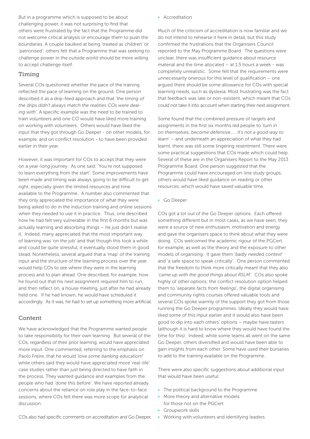But in a programme which is supposed to be about challenging power, it was not surprising to find that others were frustrated by the fact that the Programme did not welcome critical analysis or encourage them to push the boundaries. A couple baulked at being 'treated as children' or 'patronised'; others felt that a Programme that was seeking to challenge power in the outside world should be more willing to accept challenge itself.

#### Timing

Several COs questioned whether the pace of the training reflected the pace of learning on the ground. One person described it as a drip-feed approach and that '*the timing of the drips didn't always match the realities COs were dealing with*'. A specific example was the need to be trained to train volunteers and one CO would have liked more training on working with volunteers. Others would have liked the input that they got through Go Deeper - on other models, for example, and on conflict resolution - to have been provided earlier in their year.

However, it was important for COs to accept that they were on a year-long journey. As one said: 'You're not supposed to learn everything from the start'. Some improvements have been made and timing was always going to be difficult to get right, especially given the limited resources and time available to the Programme. A number also commented that they only appreciated the importance of what they were being asked to do in the induction training and online sessions when they needed to use it in practice. Thus, one described how he had felt very vulnerable in the first 6 months but was actually learning and absorbing things – he just didn't realise it. Indeed, many appreciated that the most important way of learning was 'on the job' and that though this took a while and could be quite stressful, it eventually stood them in good stead. Nonetheless, several argued that a 'map' of the training input and the structure of the learning process over the year would help COs to see where they were in the learning process and to plan ahead. One described, for example, how he found out that his next assignment required him to run, and then reflect on, a house meeting, just after he had already held one. If he had known, he would have scheduled it accordingly. As it was, he had to set up something more artificial.

#### Content

We have acknowledged that the Programme wanted people to take responsibility for their own learning. But several of the COs, regardless of their prior learning, would have appreciated more input. One commented, referring to the emphasis on Paolo Freire, that he would '*love some banking education!*' while others said they would have appreciated more 'real-life' case studies rather than just being directed to have faith in the process. They wanted guidance and examples from the people who had '*done this before*'. We have reported already concerns about the reliance on role play in the face-to-face sessions, where COs felt there was more scope for analytical discussion.

• Accreditation

Much of the criticism of accreditation is now familiar and we do not intend to rehearse it here in detail, but this study confirmed the frustrations that the Organisers Council reported to the May Programme Board. The questions were unclear, there was insufficient guidance about resource material and the time allocated – at 1.5 hours a week - was completely unrealistic. Some felt that the requirements were unnecessarily onerous for this level of qualification – one argued there should be some allowance for COs with special learning needs, such as dyslexia. Most frustrating was the fact that feedback was late or non-existent, which meant that COs could not take it into account when starting their next assignment.

Some found that the combined pressure of targets and assignments in the first six months led people to '*turn in on themselves, become defensive….. It's not a good way to learn*' – and underneath an appreciation of what they had learnt, there was still some lingering resentment. There were some practical suggestions that COs made which could help. Several of these are in the Organisers Report to the May 2013 Programme Board. One person suggested that the Programme could have encouraged on-line study groups; others would have liked guidance on reading or other resources, which would have saved valuable time.

• Go Deeper

COs got a lot out of the Go Deeper options. Each offered something different but in most cases, as we have seen, they were a source of new enthusiasm, motivation and energy and gave the organisers space to think about what they were doing. COs welcomed the academic rigour of the PGCert, for example, as well as the theory and the exposure to other models of organising. It gave them '*badly needed context*' and 'a safe space to speak critically'. One person commented that the freedom to think more critically meant that they also '*came up with the good things about RSLM'*. COs also spoke highly of other options: the conflict resolution option helped them to '*separate facts from feelings*', the digital organising and community rights courses offered valuable tools and several COs spoke warmly of the support they got from those running the Go Deeper programmes. Ideally they would have liked some of this input earlier and it would also have been good to dip into each others' options – maybe have tasters (although it is hard to know where they would have found the time for this). Indeed, while some teams all went on the same Go Deeper, others diversified and would have been able to gain insights from each other. Some have used their bursaries to add to the training available on the Programme.

There were also specific suggestions about additional input that would have been useful:

- The political background to the Programme
- More theory and alternative models for those not on the PGCert
- Groupwork skills
- Working with volunteers and identifying leaders

COs also had specific comments on accreditation and Go Deeper.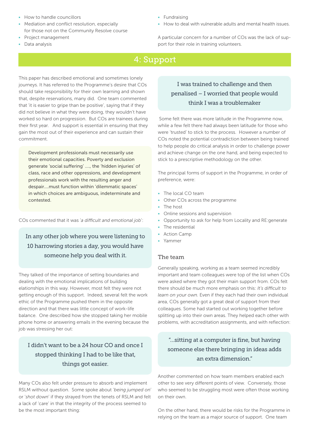- How to handle councillors
- Mediation and conflict resolution, especially for those not on the Community Resolve course
- Project management
- Data analysis

#### • Fundraising

• How to deal with vulnerable adults and mental health issues.

A particular concern for a number of COs was the lack of support for their role in training volunteers.

# 4: Support

This paper has described emotional and sometimes lonely journeys. It has referred to the Programme's desire that COs should take responsibility for their own learning and shown that, despite reservations, many did. One team commented that 'it is easier to gripe than be positive', saying that if they did not believe in what they were doing, they wouldn't have worked so hard on progression. But COs are trainees during their first year. And support is essential in ensuring that they gain the most out of their experience and can sustain their commitment.

Development professionals must necessarily use their emotional capacities. Poverty and exclusion generate 'social suffering' …., the 'hidden injuries' of class, race and other oppressions, and development professionals work with the resulting anger and despair….must function within 'dilemmatic spaces' in which choices are ambiguous, indeterminate and contested.

COs commented that it was '*a difficult and emotional job*':

In any other job where you were listening to 10 harrowing stories a day, you would have someone help you deal with it.

They talked of the importance of setting boundaries and dealing with the emotional implications of building elationships in this way. However, most felt they were not getting enough of this support. Indeed, several felt the work ethic of the Programme pushed them in the opposite direction and that there was little concept of work-life balance. One described how she stopped taking her mobile phone home or answering emails in the evening because the job was stressing her out:

# I didn't want to be a 24 hour CO and once I stopped thinking I had to be like that, things got easier.

Many COs also felt under pressure to absorb and implement RSLM without question. Some spoke about '*being jumped on*' or '*shot down*' if they strayed from the tenets of RSLM and felt a lack of 'care' in that the integrity of the process seemed to be the most important thing:

# I was trained to challenge and then penalised – I worried that people would think I was a troublemaker

 Some felt there was more latitude in the Programme now, while a few felt there had always been latitude for those who were 'trusted' to stick to the process. However a number of COs noted the potential contradiction between being trained to help people do critical analysis in order to challenge power and achieve change on the one hand, and being expected to stick to a prescriptive methodology on the other.

The principal forms of support in the Programme, in order of preference, were:

- The local CO team
- Other COs across the programme
- The host
- Online sessions and supervision
- Opportunity to ask for help from Locality and RE:generate
- The residential
- **Action Camp**
- Yammer

#### The team

Generally speaking, working as a team seemed incredibly important and team colleagues were top of the list when COs were asked where they got their main support from. COs felt there should be much more emphasis on this: *It's difficult to learn on your own.* Even if they each had their own individual area, COs generally got a great deal of support from their colleagues. Some had started out working together before splitting up into their own areas. They helped each other with problems, with accreditation assignments, and with reflection:

# "…sitting at a computer is fine, but having someone else there bringing in ideas adds an extra dimension."

Another commented on how team members enabled each other to see very different points of view. Conversely, those who seemed to be struggling most were often those working on their own.

On the other hand, there would be risks for the Programme in relying on the team as a major source of support. One team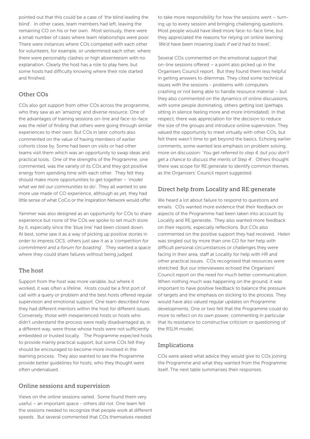pointed out that this could be a case of 'the blind leading the blind'. In other cases, team members had left, leaving the remaining CO on his or her own. Most seriously, there were a small number of cases where team relationships were poor. There were instances where COs competed with each other for volunteers, for example, or undermined each other, where there were personality clashes or high absenteeism with no explanation. Clearly the host has a role to play here, but some hosts had difficulty knowing where their role started and finished.

#### Other COs

COs also got support from other COs across the programme, who they saw as an 'amazing' and diverse resource. One of the advantages of training sessions on-line and face-to-face was the relief of finding that others were going through similar experiences to their own. But COs in later cohorts also commented on the value of having members of earlier cohorts close by. Some had been on visits or had other teams visit them which was an opportunity to swap ideas and practical tools. One of the strengths of the Programme, one commented, was the variety of its COs and they got positive energy from spending time with each other. They felt they should make more opportunities to get together – '*model what we tell our communities to do*'. They all wanted to see more use made of CO experience, although as yet, they had little sense of what CoCo or the Inspiration Network would offer.

Yammer was also designed as an opportunity for COs to share experience but none of the COs we spoke to set much store by it, especially since the 'blue line' had been closed down. At best, some saw it as a way of picking up positive stories in order to impress OCS; others just saw it as a '*competition for commitment and a forum for boasting*'. They wanted a space where they could share failures without being judged.

#### The host

Support from the host was more variable, but where it worked, it was often a lifeline. Hosts could be a first port of call with a query or problem and the best hosts offered regular supervision and emotional support. One team described how they had different mentors within the host for different issues. Conversely, those with inexperienced hosts or hosts who didn't understand the process were really disadvantaged as, in a different way, were those whose hosts were not sufficiently embedded or trusted locally. The Programme expected hosts to provide mainly practical support, but some COs felt they should be encouraged to become more involved in the learning process. They also wanted to see the Programme provide better guidelines for hosts, who they thought were often undervalued.

#### Online sessions and supervision

Views on the online sessions varied. Some found them very useful – an important space - others did not. One team felt the sessions needed to recognize that people work at different speeds. But several commented that COs themselves needed

to take more responsibility for how the sessions went – turning up to every session and bringing challenging questions. Most people would have liked more face-to-face time, but they appreciated the reasons for relying on online learning: '*We'd have been moaning loads if we'd had to travel*',

Several COs commented on the emotional support that on-line sessions offered – a point also picked up in the Organisers Council report. But they found them less helpful in getting answers to dilemmas. They cited some technical issues with the sessions - problems with computers crashing or not being able to handle resource material – but they also commented on the dynamics of online discussions, with some people dominating, others getting lost (perhaps sitting in silence feeling more and more intimidated). In that respect, there was appreciation for the decision to reduce the size of the groups and introduce online supervision. They valued the opportunity to meet virtually with other COs, but felt there wasn't time to get beyond the basics. Echoing earlier comments, some wanted less emphasis on problem solving, more on discussion: '*You get referred to step 4, but you don't get a chance to discuss the merits of Step 4*'. Others thought there was scope for RE:generate to identify common themes, as the Organisers' Council report suggested.

#### Direct help from Locality and RE:generate

We heard a lot about failure to respond to questions and emails. COs wanted more evidence that their feedback on aspects of the Programme had been taken into account by Locality and RE;generate. They also wanted more feedback on their reports, especially reflections. But COs also commented on the positive support they had received. Helen was singled out by more than one CO for her help with difficult personal circumstances or challenges they were facing in their area, staff at Locality for help with HR and other practical issues. COs recognised that resources were stretched. But our interviewees echoed the Organisers' Council report on the need for much better communication. When nothing much was happening on the ground, it was important to have positive feedback to balance the pressure of targets and the emphasis on sticking to the process. They would have also valued regular updates on Programme developments. One or two felt that the Programme could do more to reflect on its own power, commenting in particular that its resistance to constructive criticism or questioning of the RSLM model.

#### Implications

COs were asked what advice they would give to COs joining the Programme and what they wanted from the Programme itself. The next table summarises their responses.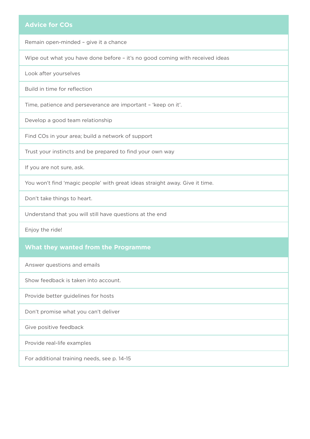#### **Advice for COs**

Remain open-minded – give it a chance

Wipe out what you have done before – it's no good coming with received ideas

Look after yourselves

Build in time for reflection

Time, patience and perseverance are important – 'keep on it'.

Develop a good team relationship

Find COs in your area; build a network of support

Trust your instincts and be prepared to find your own way

If you are not sure, ask.

You won't find 'magic people' with great ideas straight away. Give it time.

Don't take things to heart.

Understand that you will still have questions at the end

Enjoy the ride!

#### **What they wanted from the Programme**

Answer questions and emails

Show feedback is taken into account.

Provide better guidelines for hosts

Don't promise what you can't deliver

Give positive feedback

Provide real-life examples

For additional training needs, see p. 14-15